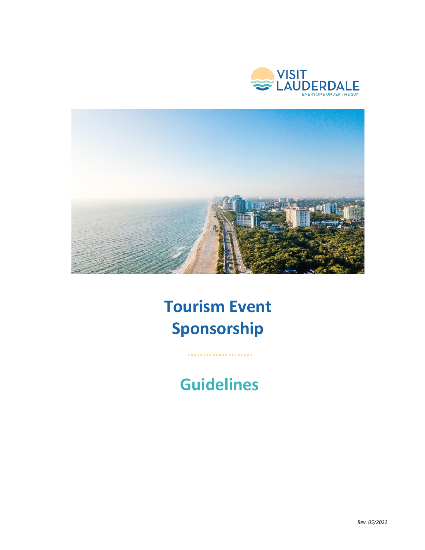



# **Tourism Event Sponsorship**

## **Guidelines**

....................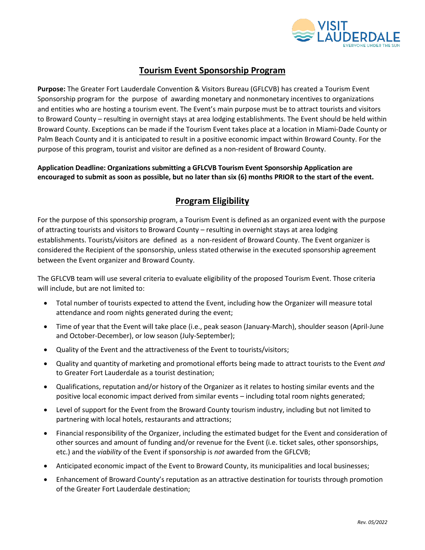

## **Tourism Event Sponsorship Program**

**Purpose:** The Greater Fort Lauderdale Convention & Visitors Bureau (GFLCVB) has created a Tourism Event Sponsorship program for the purpose of awarding monetary and nonmonetary incentives to organizations and entities who are hosting a tourism event. The Event's main purpose must be to attract tourists and visitors to Broward County – resulting in overnight stays at area lodging establishments. The Event should be held within Broward County. Exceptions can be made if the Tourism Event takes place at a location in Miami-Dade County or Palm Beach County and it is anticipated to result in a positive economic impact within Broward County. For the purpose of this program, tourist and visitor are defined as a non-resident of Broward County.

#### **Application Deadline: Organizations submitting a GFLCVB Tourism Event Sponsorship Application are encouraged to submit as soon as possible, but no later than six (6) months PRIOR to the start of the event.**

## **Program Eligibility**

For the purpose of this sponsorship program, a Tourism Event is defined as an organized event with the purpose of attracting tourists and visitors to Broward County – resulting in overnight stays at area lodging establishments. Tourists/visitors are defined as a non-resident of Broward County. The Event organizer is considered the Recipient of the sponsorship, unless stated otherwise in the executed sponsorship agreement between the Event organizer and Broward County.

The GFLCVB team will use several criteria to evaluate eligibility of the proposed Tourism Event. Those criteria will include, but are not limited to:

- Total number of tourists expected to attend the Event, including how the Organizer will measure total attendance and room nights generated during the event;
- Time of year that the Event will take place (i.e., peak season (January-March), shoulder season (April-June and October-December), or low season (July-September);
- Quality of the Event and the attractiveness of the Event to tourists/visitors;
- Quality and quantity of marketing and promotional efforts being made to attract tourists to the Event *and* to Greater Fort Lauderdale as a tourist destination;
- Qualifications, reputation and/or history of the Organizer as it relates to hosting similar events and the positive local economic impact derived from similar events – including total room nights generated;
- Level of support for the Event from the Broward County tourism industry, including but not limited to partnering with local hotels, restaurants and attractions;
- Financial responsibility of the Organizer, including the estimated budget for the Event and consideration of other sources and amount of funding and/or revenue for the Event (i.e. ticket sales, other sponsorships, etc.) and the *viability* of the Event if sponsorship is *not* awarded from the GFLCVB;
- Anticipated economic impact of the Event to Broward County, its municipalities and local businesses;
- Enhancement of Broward County's reputation as an attractive destination for tourists through promotion of the Greater Fort Lauderdale destination;